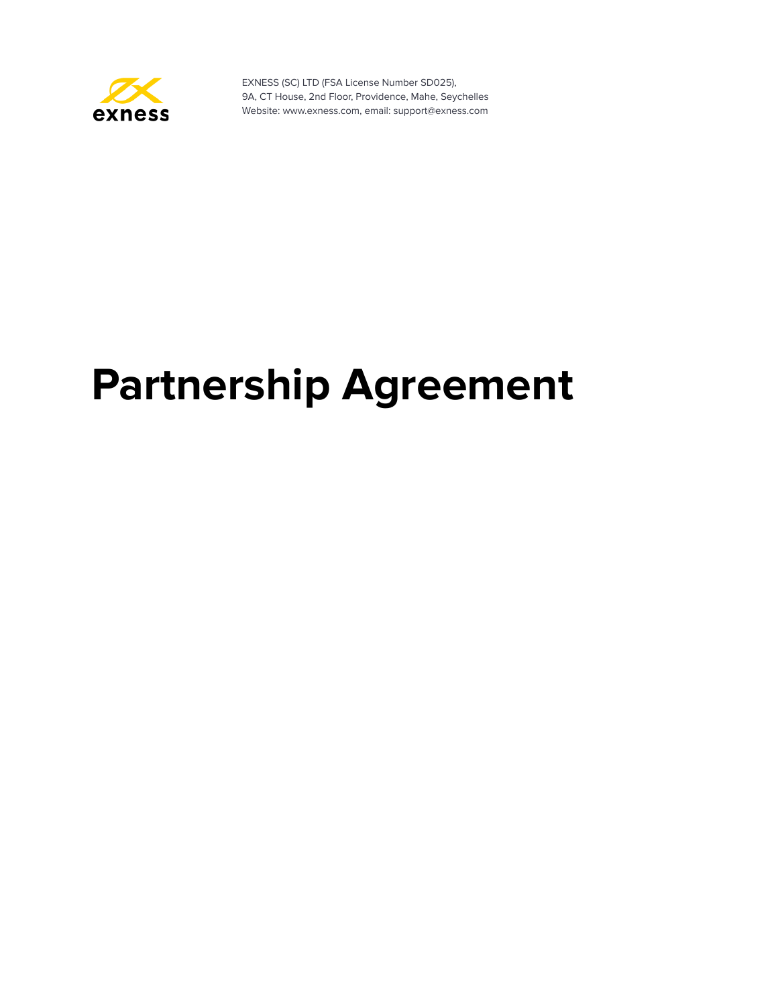

# **Partnership Agreement**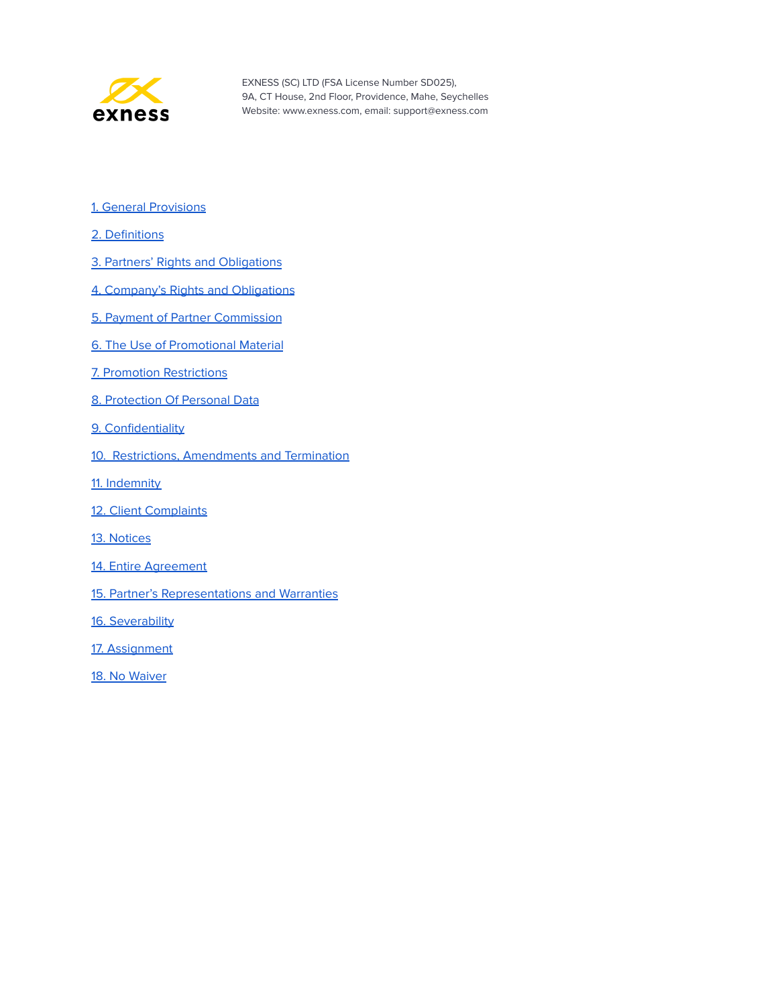

- 1. General [Provisions](#page-2-0)
- 2. [Definitions](#page-2-1)
- 3. Partners' Rights and [Obligations](#page-3-0)
- 4. Company's Rights and [Obligations](#page-5-0)
- 5. Payment of Partner [Commission](#page-6-0)
- 6. The Use of [Promotional](#page-8-0) Material
- 7. Promotion [Restrictions](#page-8-1)
- 8. [Protection](#page-10-0) Of Personal Data
- 9. [Confidentiality](#page-11-0)
- 10. Restrictions, [Amendments](#page-11-1) and Termination
- 11. [Indemnity](#page-12-0)
- 12. Client [Complaints](#page-13-0)
- 13. [Notices](#page-13-1)
- 14. Entire [Agreement](#page-13-2)
- 15. Partner's [Representations](#page-13-3) and Warranties
- 16. [Severability](#page-14-0)
- 17. [Assignment](#page-14-1)
- 18. No [Waiver](#page-15-0)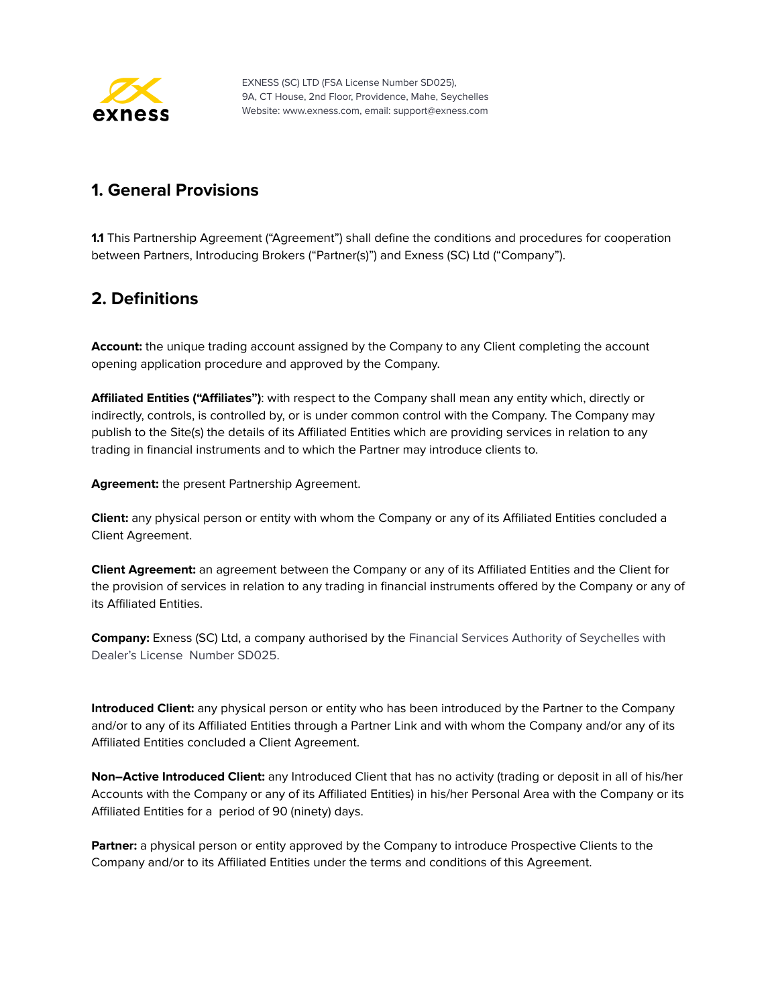

#### <span id="page-2-0"></span>**1. General Provisions**

**1.1** This Partnership Agreement ("Agreement") shall define the conditions and procedures for cooperation between Partners, Introducing Brokers ("Partner(s)") and Exness (SC) Ltd ("Company").

#### <span id="page-2-1"></span>**2. Definitions**

**Account:** the unique trading account assigned by the Company to any Client completing the account opening application procedure and approved by the Company.

**Affiliated Entities ("Affiliates")**: with respect to the Company shall mean any entity which, directly or indirectly, controls, is controlled by, or is under common control with the Company. The Company may publish to the Site(s) the details of its Affiliated Entities which are providing services in relation to any trading in financial instruments and to which the Partner may introduce clients to.

**Agreement:** the present Partnership Agreement.

**Client:** any physical person or entity with whom the Company or any of its Affiliated Entities concluded a Client Agreement.

**Client Agreement:** an agreement between the Company or any of its Affiliated Entities and the Client for the provision of services in relation to any trading in financial instruments offered by the Company or any of its Affiliated Entities.

**Company:** Exness (SC) Ltd, a company authorised by the Financial Services Authority of Seychelles with Dealer's License Number SD025.

**Introduced Client:** any physical person or entity who has been introduced by the Partner to the Company and/or to any of its Affiliated Entities through a Partner Link and with whom the Company and/or any of its Affiliated Entities concluded a Client Agreement.

**Non–Active Introduced Client:** any Introduced Client that has no activity (trading or deposit in all of his/her Accounts with the Company or any of its Affiliated Entities) in his/her Personal Area with the Company or its Affiliated Entities for a period of 90 (ninety) days.

**Partner:** a physical person or entity approved by the Company to introduce Prospective Clients to the Company and/or to its Affiliated Entities under the terms and conditions of this Agreement.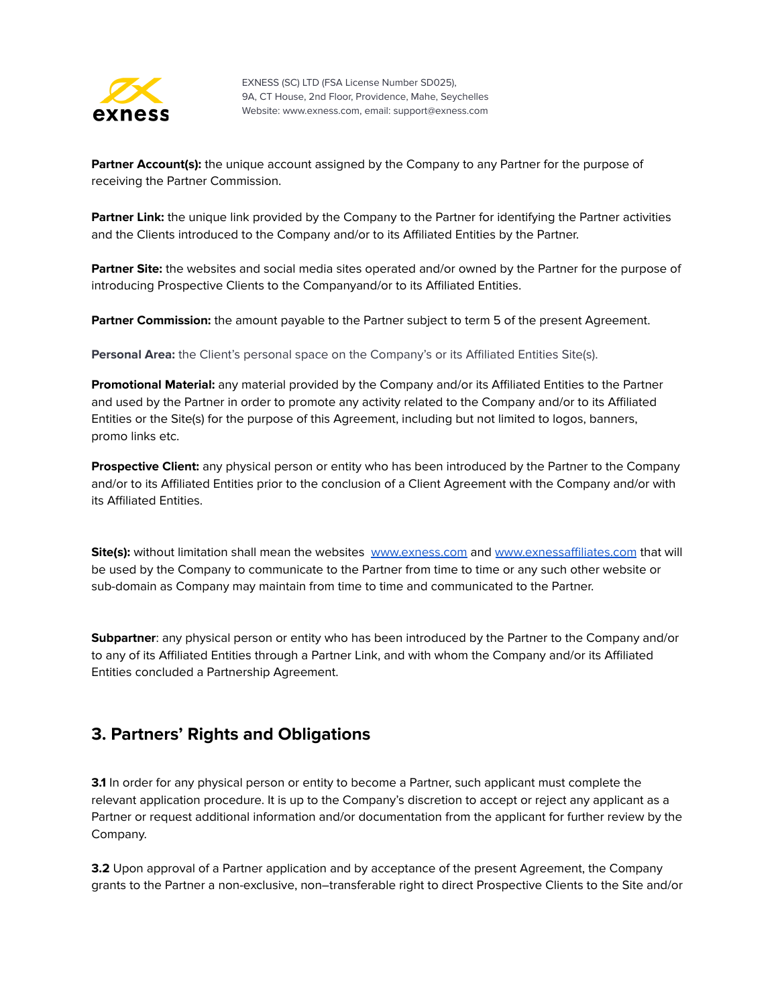

**Partner Account(s):** the unique account assigned by the Company to any Partner for the purpose of receiving the Partner Commission.

**Partner Link:** the unique link provided by the Company to the Partner for identifying the Partner activities and the Clients introduced to the Company and/or to its Affiliated Entities by the Partner.

**Partner Site:** the websites and social media sites operated and/or owned by the Partner for the purpose of introducing Prospective Clients to the Companyand/or to its Affiliated Entities.

**Partner Commission:** the amount payable to the Partner subject to term 5 of the present Agreement.

**Personal Area:** the Client's personal space on the Company's or its Affiliated Entities Site(s).

**Promotional Material:** any material provided by the Company and/or its Affiliated Entities to the Partner and used by the Partner in order to promote any activity related to the Company and/or to its Affiliated Entities or the Site(s) for the purpose of this Agreement, including but not limited to logos, banners, promo links etc.

**Prospective Client:** any physical person or entity who has been introduced by the Partner to the Company and/or to its Affiliated Entities prior to the conclusion of a Client Agreement with the Company and/or with its Affiliated Entities.

**Site(s):** without limitation shall mean the websites [www.exness.com](http://www.exness.com) and [www.exnessaffiliates.com](http://www.exnessaffiliates.com) that will be used by the Company to communicate to the Partner from time to time or any such other website or sub-domain as Company may maintain from time to time and communicated to the Partner.

**Subpartner**: any physical person or entity who has been introduced by the Partner to the Company and/or to any of its Affiliated Entities through a Partner Link, and with whom the Company and/or its Affiliated Entities concluded a Partnership Agreement.

#### <span id="page-3-0"></span>**3. Partners' Rights and Obligations**

**3.1** In order for any physical person or entity to become a Partner, such applicant must complete the relevant application procedure. It is up to the Company's discretion to accept or reject any applicant as a Partner or request additional information and/or documentation from the applicant for further review by the Company.

**3.2** Upon approval of a Partner application and by acceptance of the present Agreement, the Company grants to the Partner a non-exclusive, non–transferable right to direct Prospective Clients to the Site and/or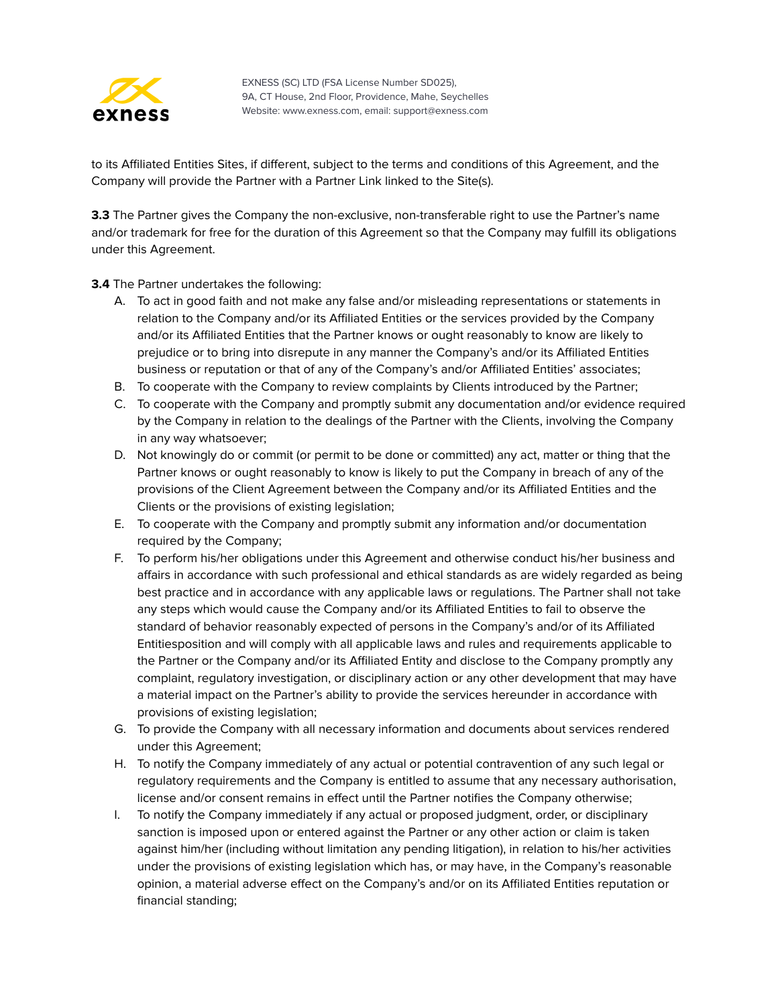

to its Affiliated Entities Sites, if different, subject to the terms and conditions of this Agreement, and the Company will provide the Partner with a Partner Link linked to the Site(s).

**3.3** The Partner gives the Company the non-exclusive, non-transferable right to use the Partner's name and/or trademark for free for the duration of this Agreement so that the Company may fulfill its obligations under this Agreement.

**3.4** The Partner undertakes the following:

- A. To act in good faith and not make any false and/or misleading representations or statements in relation to the Company and/or its Affiliated Entities or the services provided by the Company and/or its Affiliated Entities that the Partner knows or ought reasonably to know are likely to prejudice or to bring into disrepute in any manner the Company's and/or its Affiliated Entities business or reputation or that of any of the Company's and/or Affiliated Entities' associates;
- B. To cooperate with the Company to review complaints by Clients introduced by the Partner;
- C. To cooperate with the Company and promptly submit any documentation and/or evidence required by the Company in relation to the dealings of the Partner with the Clients, involving the Company in any way whatsoever;
- D. Not knowingly do or commit (or permit to be done or committed) any act, matter or thing that the Partner knows or ought reasonably to know is likely to put the Company in breach of any of the provisions of the Client Agreement between the Company and/or its Affiliated Entities and the Clients or the provisions of existing legislation;
- E. To cooperate with the Company and promptly submit any information and/or documentation required by the Company;
- F. To perform his/her obligations under this Agreement and otherwise conduct his/her business and affairs in accordance with such professional and ethical standards as are widely regarded as being best practice and in accordance with any applicable laws or regulations. The Partner shall not take any steps which would cause the Company and/or its Affiliated Entities to fail to observe the standard of behavior reasonably expected of persons in the Company's and/or of its Affiliated Entitiesposition and will comply with all applicable laws and rules and requirements applicable to the Partner or the Company and/or its Affiliated Entity and disclose to the Company promptly any complaint, regulatory investigation, or disciplinary action or any other development that may have a material impact on the Partner's ability to provide the services hereunder in accordance with provisions of existing legislation;
- G. To provide the Company with all necessary information and documents about services rendered under this Agreement;
- H. To notify the Company immediately of any actual or potential contravention of any such legal or regulatory requirements and the Company is entitled to assume that any necessary authorisation, license and/or consent remains in effect until the Partner notifies the Company otherwise;
- I. To notify the Company immediately if any actual or proposed judgment, order, or disciplinary sanction is imposed upon or entered against the Partner or any other action or claim is taken against him/her (including without limitation any pending litigation), in relation to his/her activities under the provisions of existing legislation which has, or may have, in the Company's reasonable opinion, a material adverse effect on the Company's and/or on its Affiliated Entities reputation or financial standing;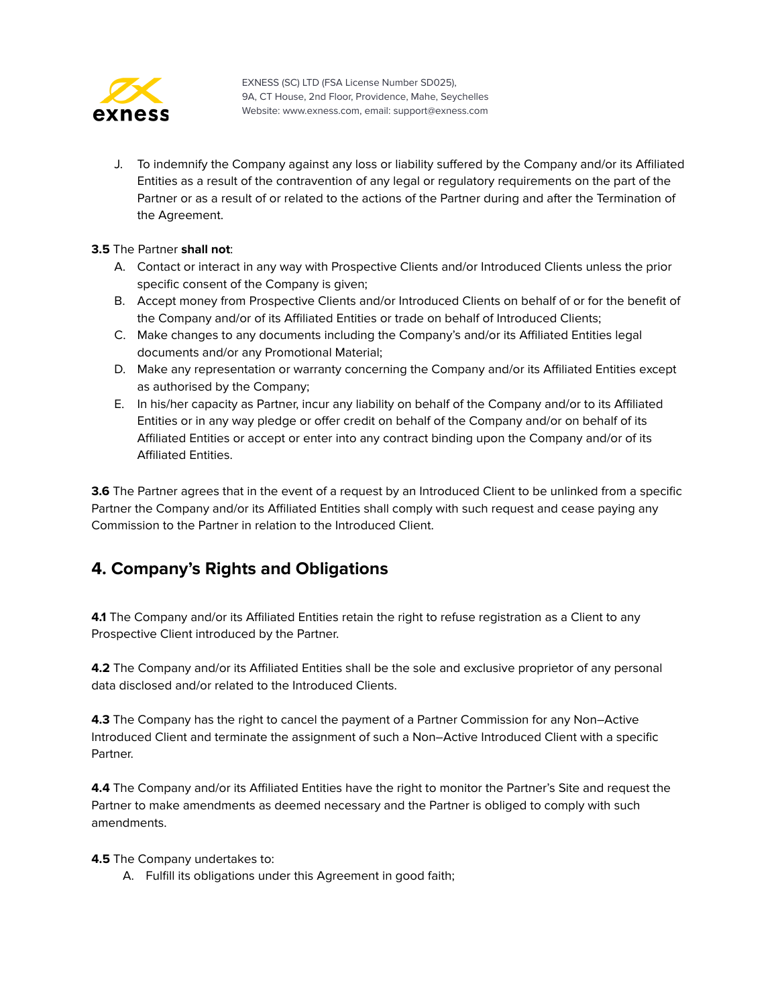

J. To indemnify the Company against any loss or liability suffered by the Company and/or its Affiliated Entities as a result of the contravention of any legal or regulatory requirements on the part of the Partner or as a result of or related to the actions of the Partner during and after the Termination of the Agreement.

#### **3.5** The Partner **shall not**:

- A. Contact or interact in any way with Prospective Clients and/or Introduced Clients unless the prior specific consent of the Company is given;
- B. Accept money from Prospective Clients and/or Introduced Clients on behalf of or for the benefit of the Company and/or of its Affiliated Entities or trade on behalf of Introduced Clients;
- C. Make changes to any documents including the Company's and/or its Affiliated Entities legal documents and/or any Promotional Material;
- D. Make any representation or warranty concerning the Company and/or its Affiliated Entities except as authorised by the Company;
- E. In his/her capacity as Partner, incur any liability on behalf of the Company and/or to its Affiliated Entities or in any way pledge or offer credit on behalf of the Company and/or on behalf of its Affiliated Entities or accept or enter into any contract binding upon the Company and/or of its Affiliated Entities.

**3.6** The Partner agrees that in the event of a request by an Introduced Client to be unlinked from a specific Partner the Company and/or its Affiliated Entities shall comply with such request and cease paying any Commission to the Partner in relation to the Introduced Client.

#### <span id="page-5-0"></span>**4. Company's Rights and Obligations**

**4.1** The Company and/or its Affiliated Entities retain the right to refuse registration as a Client to any Prospective Client introduced by the Partner.

**4.2** The Company and/or its Affiliated Entities shall be the sole and exclusive proprietor of any personal data disclosed and/or related to the Introduced Clients.

**4.3** The Company has the right to cancel the payment of a Partner Commission for any Non–Active Introduced Client and terminate the assignment of such a Non–Active Introduced Client with a specific Partner.

**4.4** The Company and/or its Affiliated Entities have the right to monitor the Partner's Site and request the Partner to make amendments as deemed necessary and the Partner is obliged to comply with such amendments.

**4.5** The Company undertakes to:

A. Fulfill its obligations under this Agreement in good faith;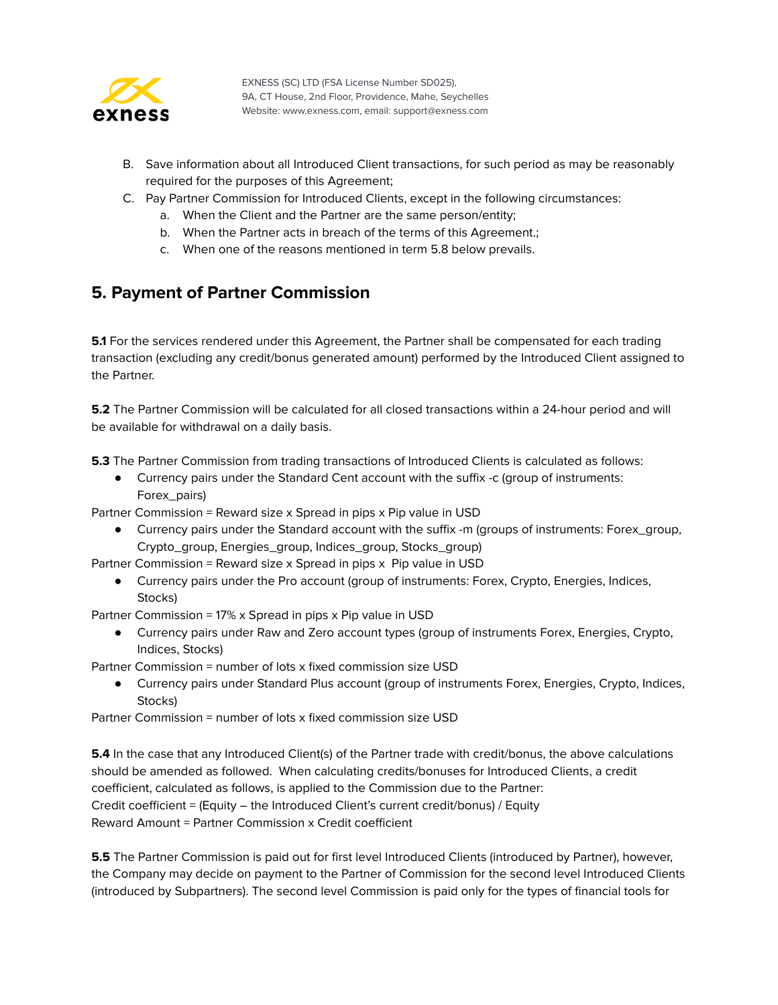

- B. Save information about all Introduced Client transactions, for such period as may be reasonably required for the purposes of this Agreement;
- C. Pay Partner Commission for Introduced Clients, except in the following circumstances:
	- a. When the Client and the Partner are the same person/entity;
	- b. When the Partner acts in breach of the terms of this Agreement.;
	- c. When one of the reasons mentioned in term 5.8 below prevails.

#### <span id="page-6-0"></span>**5. Payment of Partner Commission**

**5.1** For the services rendered under this Agreement, the Partner shall be compensated for each trading transaction (excluding any credit/bonus generated amount) performed by the Introduced Client assigned to the Partner.

**5.2** The Partner Commission will be calculated for all closed transactions within a 24-hour period and will be available for withdrawal on a daily basis.

**5.3** The Partner Commission from trading transactions of Introduced Clients is calculated as follows:

● Currency pairs under the Standard Cent account with the suffix -c (group of instruments: Forex\_pairs)

Partner Commission = Reward size x Spread in pips x Pip value in USD

● Currency pairs under the Standard account with the suffix -m (groups of instruments: Forex\_group, Crypto\_group, Energies\_group, Indices\_group, Stocks\_group)

Partner Commission = Reward size x Spread in pips x Pip value in USD

● Currency pairs under the Pro account (group of instruments: Forex, Crypto, Energies, Indices, Stocks)

Partner Commission = 17% x Spread in pips x Pip value in USD

- Currency pairs under Raw and Zero account types (group of instruments Forex, Energies, Crypto, Indices, Stocks)
- Partner Commission = number of lots x fixed commission size USD
	- Currency pairs under Standard Plus account (group of instruments Forex, Energies, Crypto, Indices, Stocks)

Partner Commission = number of lots x fixed commission size USD

**5.4** In the case that any Introduced Client(s) of the Partner trade with credit/bonus, the above calculations should be amended as followed. When calculating credits/bonuses for Introduced Clients, a credit coefficient, calculated as follows, is applied to the Commission due to the Partner: Credit coefficient = (Equity – the Introduced Client's current credit/bonus) / Equity Reward Amount = Partner Commission x Credit coefficient

**5.5** The Partner Commission is paid out for first level Introduced Clients (introduced by Partner), however, the Company may decide on payment to the Partner of Commission for the second level Introduced Clients (introduced by Subpartners). The second level Commission is paid only for the types of financial tools for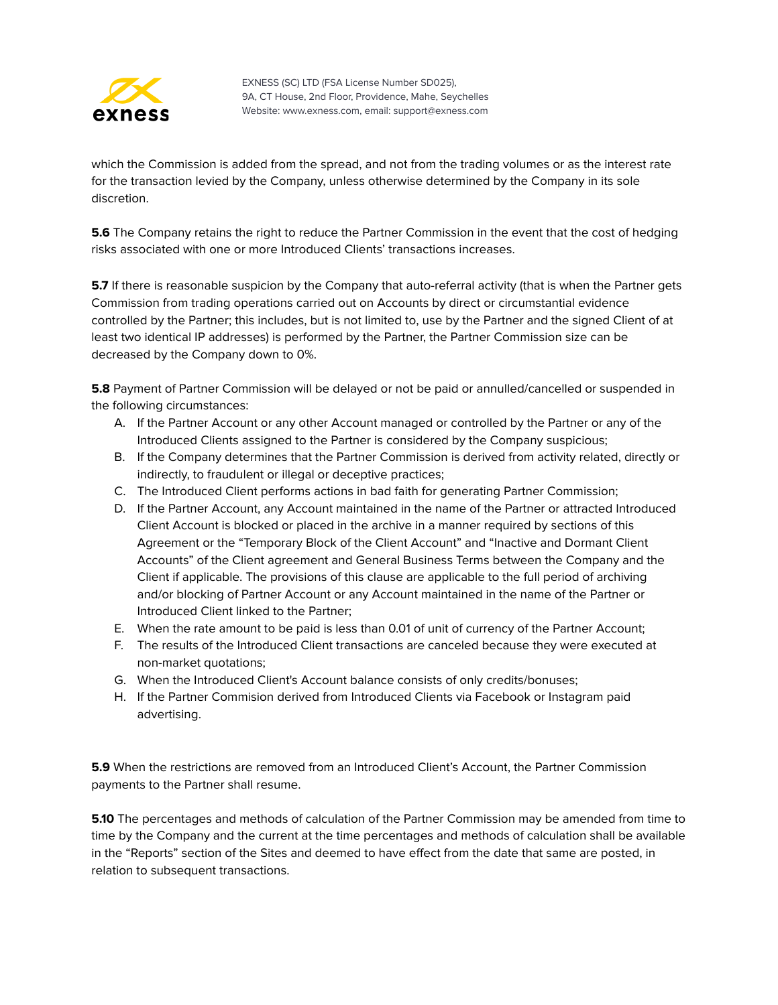

which the Commission is added from the spread, and not from the trading volumes or as the interest rate for the transaction levied by the Company, unless otherwise determined by the Company in its sole discretion.

**5.6** The Company retains the right to reduce the Partner Commission in the event that the cost of hedging risks associated with one or more Introduced Clients' transactions increases.

**5.7** If there is reasonable suspicion by the Company that auto-referral activity (that is when the Partner gets Commission from trading operations carried out on Accounts by direct or circumstantial evidence controlled by the Partner; this includes, but is not limited to, use by the Partner and the signed Client of at least two identical IP addresses) is performed by the Partner, the Partner Сommission size can be decreased by the Company down to 0%.

**5.8** Payment of Partner Commission will be delayed or not be paid or annulled/cancelled or suspended in the following circumstances:

- A. If the Partner Account or any other Account managed or controlled by the Partner or any of the Introduced Clients assigned to the Partner is considered by the Company suspicious;
- B. If the Company determines that the Partner Commission is derived from activity related, directly or indirectly, to fraudulent or illegal or deceptive practices;
- C. The Introduced Client performs actions in bad faith for generating Partner Commission;
- D. If the Partner Account, any Account maintained in the name of the Partner or attracted Introduced Client Account is blocked or placed in the archive in a manner required by sections of this Agreement or the "Temporary Block of the Client Account" and "Inactive and Dormant Client Accounts" of the Client agreement and General Business Terms between the Company and the Client if applicable. The provisions of this clause are applicable to the full period of archiving and/or blocking of Partner Account or any Account maintained in the name of the Partner or Introduced Client linked to the Partner;
- E. When the rate amount to be paid is less than 0.01 of unit of currency of the Partner Account;
- F. The results of the Introduced Client transactions are canceled because they were executed at non-market quotations;
- G. When the Introduced Client's Account balance consists of only credits/bonuses;
- H. If the Partner Commision derived from Introduced Clients via Facebook or Instagram paid advertising.

**5.9** When the restrictions are removed from an Introduced Client's Account, the Partner Commission payments to the Partner shall resume.

**5.10** The percentages and methods of calculation of the Partner Commission may be amended from time to time by the Company and the current at the time percentages and methods of calculation shall be available in the "Reports" section of the Sites and deemed to have effect from the date that same are posted, in relation to subsequent transactions.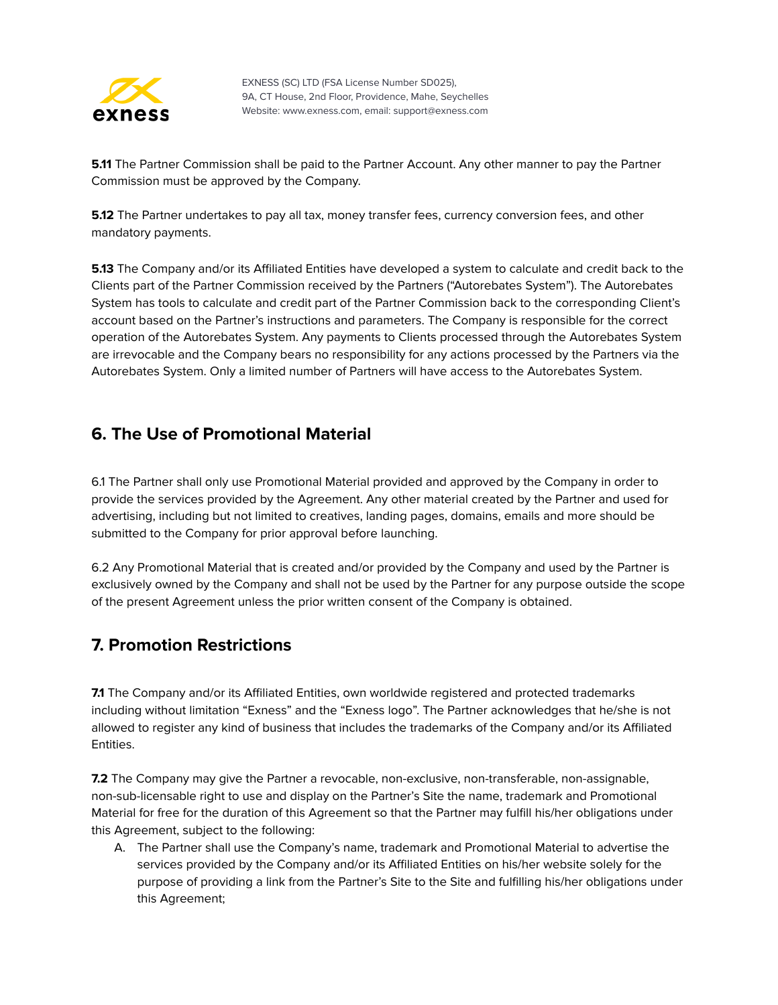

**5.11** The Partner Commission shall be paid to the Partner Account. Any other manner to pay the Partner Commission must be approved by the Company.

**5.12** The Partner undertakes to pay all tax, money transfer fees, currency conversion fees, and other mandatory payments.

**5.13** The Company and/or its Affiliated Entities have developed a system to calculate and credit back to the Clients part of the Partner Commission received by the Partners ("Autorebates System"). The Autorebates System has tools to calculate and credit part of the Partner Commission back to the corresponding Client's account based on the Partner's instructions and parameters. The Company is responsible for the correct operation of the Autorebates System. Any payments to Clients processed through the Autorebates System are irrevocable and the Company bears no responsibility for any actions processed by the Partners via the Autorebates System. Only a limited number of Partners will have access to the Autorebates System.

#### <span id="page-8-0"></span>**6. The Use of Promotional Material**

6.1 The Partner shall only use Promotional Material provided and approved by the Company in order to provide the services provided by the Agreement. Any other material created by the Partner and used for advertising, including but not limited to creatives, landing pages, domains, emails and more should be submitted to the Company for prior approval before launching.

6.2 Any Promotional Material that is created and/or provided by the Company and used by the Partner is exclusively owned by the Company and shall not be used by the Partner for any purpose outside the scope of the present Agreement unless the prior written consent of the Company is obtained.

#### <span id="page-8-1"></span>**7. Promotion Restrictions**

**7.1** The Company and/or its Affiliated Entities, own worldwide registered and protected trademarks including without limitation "Exness" and the "Exness logo". The Partner acknowledges that he/she is not allowed to register any kind of business that includes the trademarks of the Company and/or its Affiliated Entities.

**7.2** The Company may give the Partner a revocable, non-exclusive, non-transferable, non-assignable, non-sub-licensable right to use and display on the Partner's Site the name, trademark and Promotional Material for free for the duration of this Agreement so that the Partner may fulfill his/her obligations under this Agreement, subject to the following:

A. The Partner shall use the Company's name, trademark and Promotional Material to advertise the services provided by the Company and/or its Affiliated Entities on his/her website solely for the purpose of providing a link from the Partner's Site to the Site and fulfilling his/her obligations under this Agreement;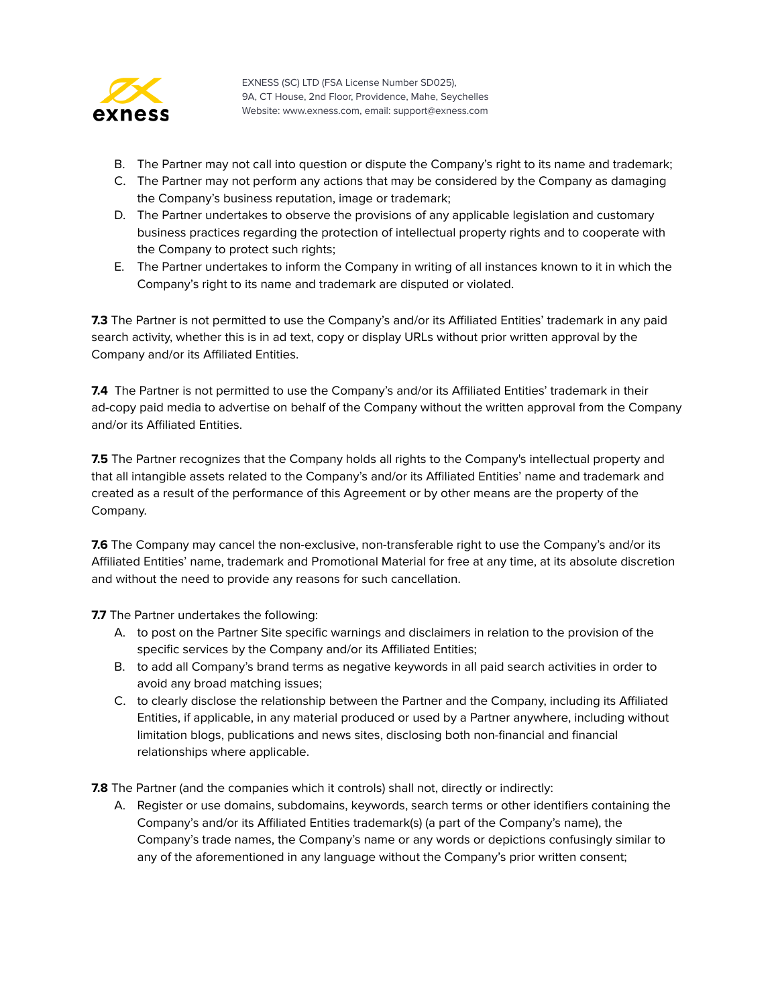

- B. The Partner may not call into question or dispute the Company's right to its name and trademark;
- C. The Partner may not perform any actions that may be considered by the Company as damaging the Company's business reputation, image or trademark;
- D. The Partner undertakes to observe the provisions of any applicable legislation and customary business practices regarding the protection of intellectual property rights and to cooperate with the Company to protect such rights;
- E. The Partner undertakes to inform the Company in writing of all instances known to it in which the Company's right to its name and trademark are disputed or violated.

**7.3** The Partner is not permitted to use the Company's and/or its Affiliated Entities' trademark in any paid search activity, whether this is in ad text, copy or display URLs without prior written approval by the Company and/or its Affiliated Entities.

**7.4** The Partner is not permitted to use the Company's and/or its Affiliated Entities' trademark in their ad-copy paid media to advertise on behalf of the Company without the written approval from the Company and/or its Affiliated Entities.

**7.5** The Partner recognizes that the Company holds all rights to the Company's intellectual property and that all intangible assets related to the Company's and/or its Affiliated Entities' name and trademark and created as a result of the performance of this Agreement or by other means are the property of the Company.

**7.6** The Company may cancel the non-exclusive, non-transferable right to use the Company's and/or its Affiliated Entities' name, trademark and Promotional Material for free at any time, at its absolute discretion and without the need to provide any reasons for such cancellation.

**7.7** The Partner undertakes the following:

- A. to post on the Partner Site specific warnings and disclaimers in relation to the provision of the specific services by the Company and/or its Affiliated Entities;
- B. to add all Company's brand terms as negative keywords in all paid search activities in order to avoid any broad matching issues;
- C. to clearly disclose the relationship between the Partner and the Company, including its Affiliated Entities, if applicable, in any material produced or used by a Partner anywhere, including without limitation blogs, publications and news sites, disclosing both non-financial and financial relationships where applicable.

**7.8** The Partner (and the companies which it controls) shall not, directly or indirectly:

A. Register or use domains, subdomains, keywords, search terms or other identifiers containing the Company's and/or its Affiliated Entities trademark(s) (a part of the Company's name), the Company's trade names, the Company's name or any words or depictions confusingly similar to any of the aforementioned in any language without the Company's prior written consent;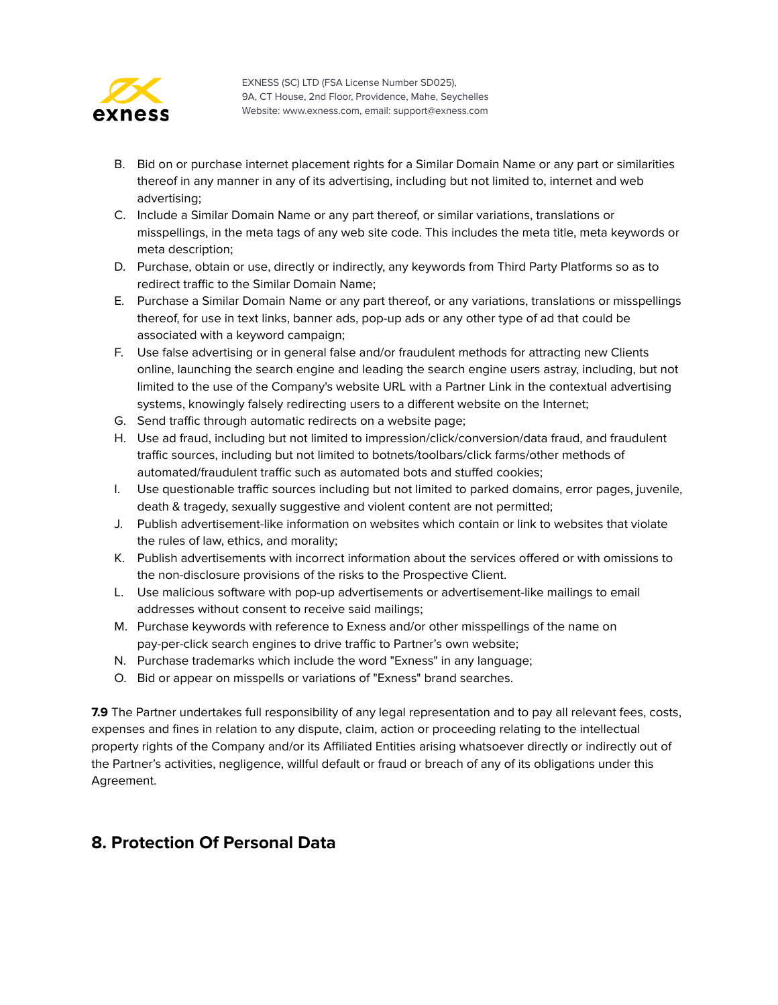

- B. Bid on or purchase internet placement rights for a Similar Domain Name or any part or similarities thereof in any manner in any of its advertising, including but not limited to, internet and web advertising;
- C. Include a Similar Domain Name or any part thereof, or similar variations, translations or misspellings, in the meta tags of any web site code. This includes the meta title, meta keywords or meta description;
- D. Purchase, obtain or use, directly or indirectly, any keywords from Third Party Platforms so as to redirect traffic to the Similar Domain Name;
- E. Purchase a Similar Domain Name or any part thereof, or any variations, translations or misspellings thereof, for use in text links, banner ads, pop-up ads or any other type of ad that could be associated with a keyword campaign;
- F. Use false advertising or in general false and/or fraudulent methods for attracting new Clients online, launching the search engine and leading the search engine users astray, including, but not limited to the use of the Company's website URL with a Partner Link in the contextual advertising systems, knowingly falsely redirecting users to a different website on the Internet;
- G. Send traffic through automatic redirects on a website page;
- H. Use ad fraud, including but not limited to impression/click/conversion/data fraud, and fraudulent traffic sources, including but not limited to botnets/toolbars/click farms/other methods of automated/fraudulent traffic such as automated bots and stuffed cookies;
- I. Use questionable traffic sources including but not limited to parked domains, error pages, juvenile, death & tragedy, sexually suggestive and violent content are not permitted;
- J. Publish advertisement-like information on websites which contain or link to websites that violate the rules of law, ethics, and morality;
- K. Publish advertisements with incorrect information about the services offered or with omissions to the non-disclosure provisions of the risks to the Prospective Client.
- L. Use malicious software with pop-up advertisements or advertisement-like mailings to email addresses without consent to receive said mailings;
- M. Purchase keywords with reference to Exness and/or other misspellings of the name on pay-per-click search engines to drive traffic to Partner's own website;
- N. Purchase trademarks which include the word "Exness" in any language;
- O. Bid or appear on misspells or variations of "Exness" brand searches.

**7.9** The Partner undertakes full responsibility of any legal representation and to pay all relevant fees, costs, expenses and fines in relation to any dispute, claim, action or proceeding relating to the intellectual property rights of the Company and/or its Affiliated Entities arising whatsoever directly or indirectly out of the Partner's activities, negligence, willful default or fraud or breach of any of its obligations under this Agreement.

#### <span id="page-10-0"></span>**8. Protection Of Personal Data**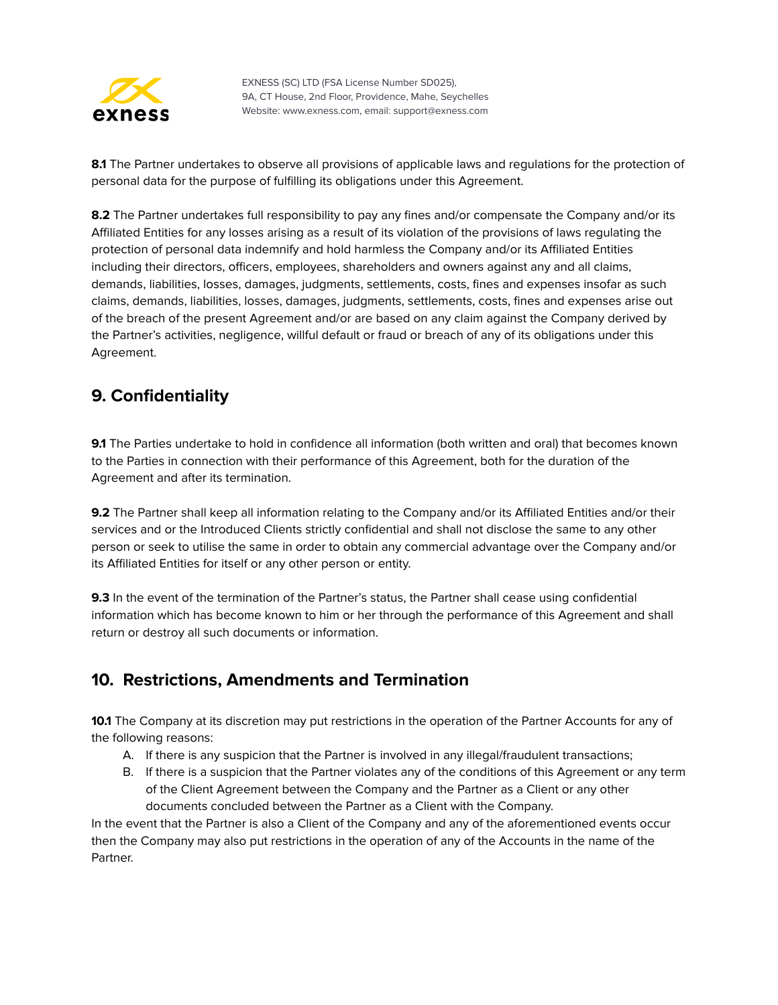

**8.1** The Partner undertakes to observe all provisions of applicable laws and regulations for the protection of personal data for the purpose of fulfilling its obligations under this Agreement.

8.2 The Partner undertakes full responsibility to pay any fines and/or compensate the Company and/or its Affiliated Entities for any losses arising as a result of its violation of the provisions of laws regulating the protection of personal data indemnify and hold harmless the Company and/or its Affiliated Entities including their directors, officers, employees, shareholders and owners against any and all claims, demands, liabilities, losses, damages, judgments, settlements, costs, fines and expenses insofar as such claims, demands, liabilities, losses, damages, judgments, settlements, costs, fines and expenses arise out of the breach of the present Agreement and/or are based on any claim against the Company derived by the Partner's activities, negligence, willful default or fraud or breach of any of its obligations under this Agreement.

#### <span id="page-11-0"></span>**9. Confidentiality**

**9.1** The Parties undertake to hold in confidence all information (both written and oral) that becomes known to the Parties in connection with their performance of this Agreement, both for the duration of the Agreement and after its termination.

**9.2** The Partner shall keep all information relating to the Company and/or its Affiliated Entities and/or their services and or the Introduced Clients strictly confidential and shall not disclose the same to any other person or seek to utilise the same in order to obtain any commercial advantage over the Company and/or its Affiliated Entities for itself or any other person or entity.

**9.3** In the event of the termination of the Partner's status, the Partner shall cease using confidential information which has become known to him or her through the performance of this Agreement and shall return or destroy all such documents or information.

# <span id="page-11-1"></span>**10. Restrictions, Amendments and Termination**

**10.1** The Company at its discretion may put restrictions in the operation of the Partner Accounts for any of the following reasons:

- A. If there is any suspicion that the Partner is involved in any illegal/fraudulent transactions;
- B. If there is a suspicion that the Partner violates any of the conditions of this Agreement or any term of the Client Agreement between the Company and the Partner as a Client or any other documents concluded between the Partner as a Client with the Company.

In the event that the Partner is also a Client of the Company and any of the aforementioned events occur then the Company may also put restrictions in the operation of any of the Accounts in the name of the Partner.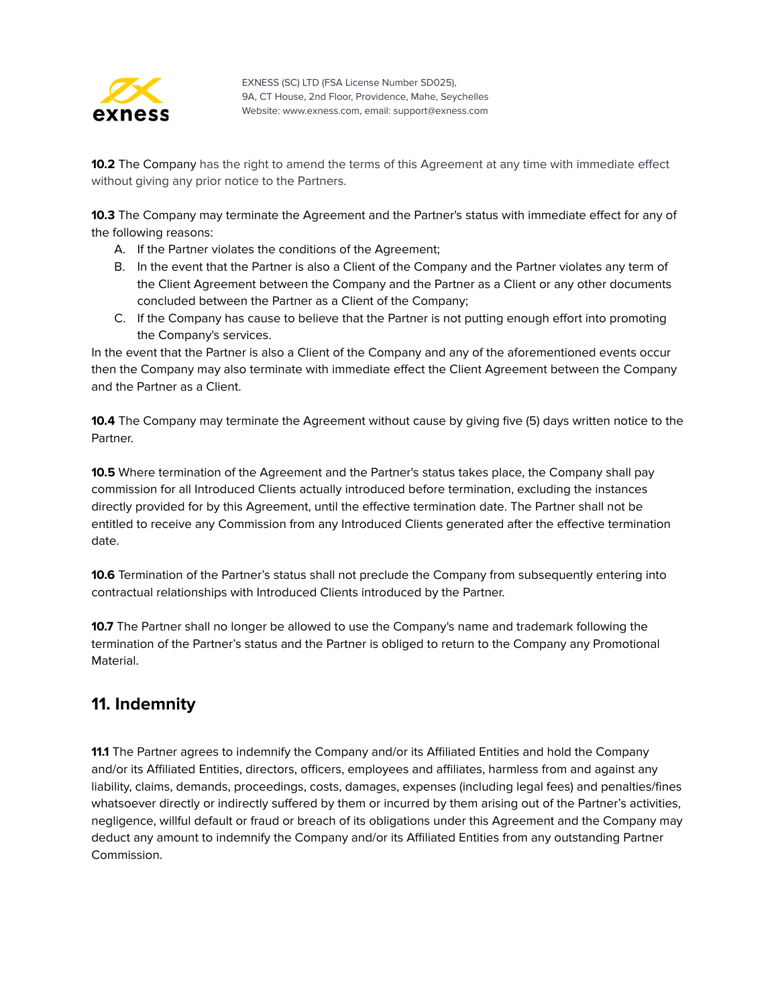

**10.2** The Company has the right to amend the terms of this Agreement at any time with immediate effect without giving any prior notice to the Partners.

**10.3** The Company may terminate the Agreement and the Partner's status with immediate effect for any of the following reasons:

- A. If the Partner violates the conditions of the Agreement;
- B. In the event that the Partner is also a Client of the Company and the Partner violates any term of the Client Agreement between the Company and the Partner as a Client or any other documents concluded between the Partner as a Client of the Company;
- C. If the Company has cause to believe that the Partner is not putting enough effort into promoting the Company's services.

In the event that the Partner is also a Client of the Company and any of the aforementioned events occur then the Company may also terminate with immediate effect the Client Agreement between the Company and the Partner as a Client.

**10.4** The Company may terminate the Agreement without cause by giving five (5) days written notice to the Partner.

**10.5** Where termination of the Agreement and the Partner's status takes place, the Company shall pay commission for all Introduced Clients actually introduced before termination, excluding the instances directly provided for by this Agreement, until the effective termination date. The Partner shall not be entitled to receive any Commission from any Introduced Clients generated after the effective termination date.

**10.6** Termination of the Partner's status shall not preclude the Company from subsequently entering into contractual relationships with Introduced Clients introduced by the Partner.

**10.7** The Partner shall no longer be allowed to use the Company's name and trademark following the termination of the Partner's status and the Partner is obliged to return to the Company any Promotional Material.

#### <span id="page-12-0"></span>**11. Indemnity**

**11.1** The Partner agrees to indemnify the Company and/or its Affiliated Entities and hold the Company and/or its Affiliated Entities, directors, officers, employees and affiliates, harmless from and against any liability, claims, demands, proceedings, costs, damages, expenses (including legal fees) and penalties/fines whatsoever directly or indirectly suffered by them or incurred by them arising out of the Partner's activities, negligence, willful default or fraud or breach of its obligations under this Agreement and the Company may deduct any amount to indemnify the Company and/or its Affiliated Entities from any outstanding Partner Commission.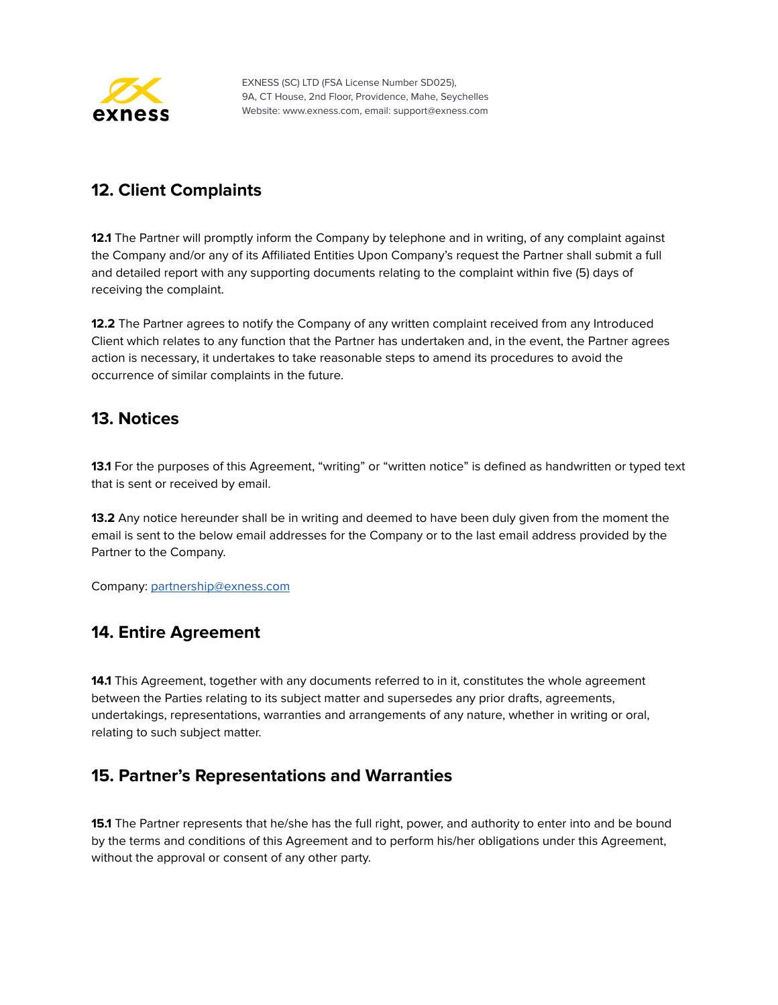

## <span id="page-13-0"></span>**12. Client Complaints**

**12.1** The Partner will promptly inform the Company by telephone and in writing, of any complaint against the Company and/or any of its Affiliated Entities Upon Company's request the Partner shall submit a full and detailed report with any supporting documents relating to the complaint within five (5) days of receiving the complaint.

**12.2** The Partner agrees to notify the Company of any written complaint received from any Introduced Client which relates to any function that the Partner has undertaken and, in the event, the Partner agrees action is necessary, it undertakes to take reasonable steps to amend its procedures to avoid the occurrence of similar complaints in the future.

#### <span id="page-13-1"></span>**13. Notices**

**13.1** For the purposes of this Agreement, "writing" or "written notice" is defined as handwritten or typed text that is sent or received by email.

**13.2** Any notice hereunder shall be in writing and deemed to have been duly given from the moment the email is sent to the below email addresses for the Company or to the last email address provided by the Partner to the Company.

<span id="page-13-2"></span>Company: [partnership@exness.com](mailto:partnership@exness.com)

#### **14. Entire Agreement**

**14.1** This Agreement, together with any documents referred to in it, constitutes the whole agreement between the Parties relating to its subject matter and supersedes any prior drafts, agreements, undertakings, representations, warranties and arrangements of any nature, whether in writing or oral, relating to such subject matter.

# <span id="page-13-3"></span>**15. Partner's Representations and Warranties**

**15.1** The Partner represents that he/she has the full right, power, and authority to enter into and be bound by the terms and conditions of this Agreement and to perform his/her obligations under this Agreement, without the approval or consent of any other party.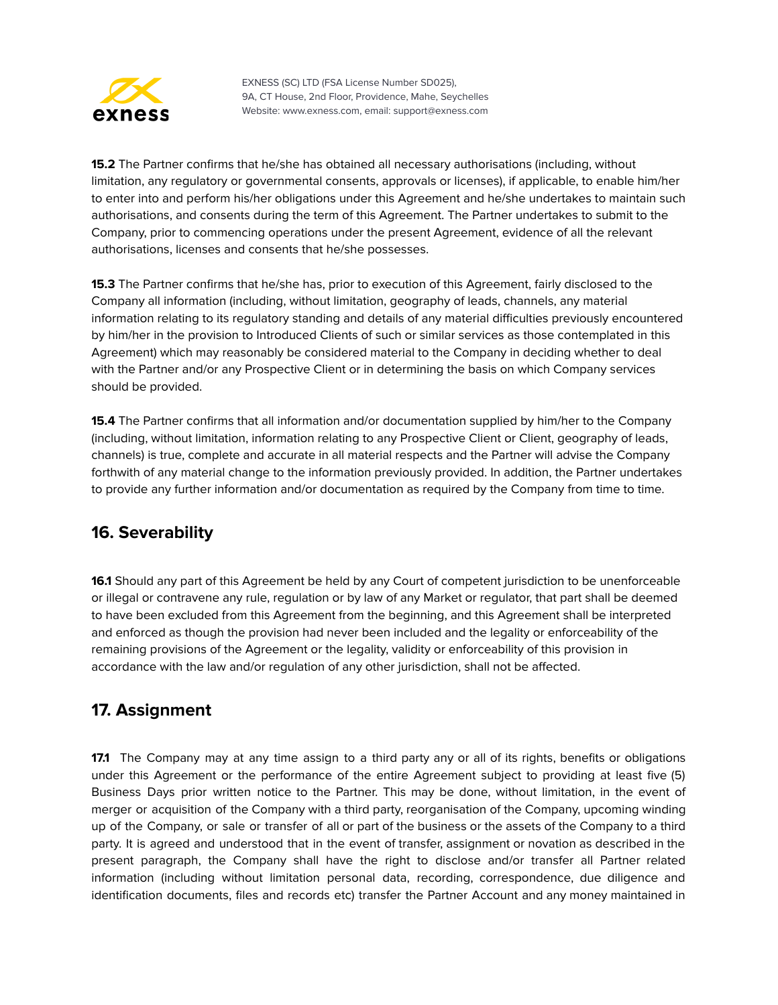

**15.2** The Partner confirms that he/she has obtained all necessary authorisations (including, without limitation, any regulatory or governmental consents, approvals or licenses), if applicable, to enable him/her to enter into and perform his/her obligations under this Agreement and he/she undertakes to maintain such authorisations, and consents during the term of this Agreement. The Partner undertakes to submit to the Company, prior to commencing operations under the present Agreement, evidence of all the relevant authorisations, licenses and consents that he/she possesses.

**15.3** The Partner confirms that he/she has, prior to execution of this Agreement, fairly disclosed to the Company all information (including, without limitation, geography of leads, channels, any material information relating to its regulatory standing and details of any material difficulties previously encountered by him/her in the provision to Introduced Clients of such or similar services as those contemplated in this Agreement) which may reasonably be considered material to the Company in deciding whether to deal with the Partner and/or any Prospective Client or in determining the basis on which Company services should be provided.

**15.4** The Partner confirms that all information and/or documentation supplied by him/her to the Company (including, without limitation, information relating to any Prospective Client or Client, geography of leads, channels) is true, complete and accurate in all material respects and the Partner will advise the Company forthwith of any material change to the information previously provided. In addition, the Partner undertakes to provide any further information and/or documentation as required by the Company from time to time.

#### <span id="page-14-0"></span>**16. Severability**

**16.1** Should any part of this Agreement be held by any Court of competent jurisdiction to be unenforceable or illegal or contravene any rule, regulation or by law of any Market or regulator, that part shall be deemed to have been excluded from this Agreement from the beginning, and this Agreement shall be interpreted and enforced as though the provision had never been included and the legality or enforceability of the remaining provisions of the Agreement or the legality, validity or enforceability of this provision in accordance with the law and/or regulation of any other jurisdiction, shall not be affected.

# <span id="page-14-1"></span>**17. Assignment**

**17.1** The Company may at any time assign to a third party any or all of its rights, benefits or obligations under this Agreement or the performance of the entire Agreement subject to providing at least five (5) Business Days prior written notice to the Partner. This may be done, without limitation, in the event of merger or acquisition of the Company with a third party, reorganisation of the Company, upcoming winding up of the Company, or sale or transfer of all or part of the business or the assets of the Company to a third party. It is agreed and understood that in the event of transfer, assignment or novation as described in the present paragraph, the Company shall have the right to disclose and/or transfer all Partner related information (including without limitation personal data, recording, correspondence, due diligence and identification documents, files and records etc) transfer the Partner Account and any money maintained in